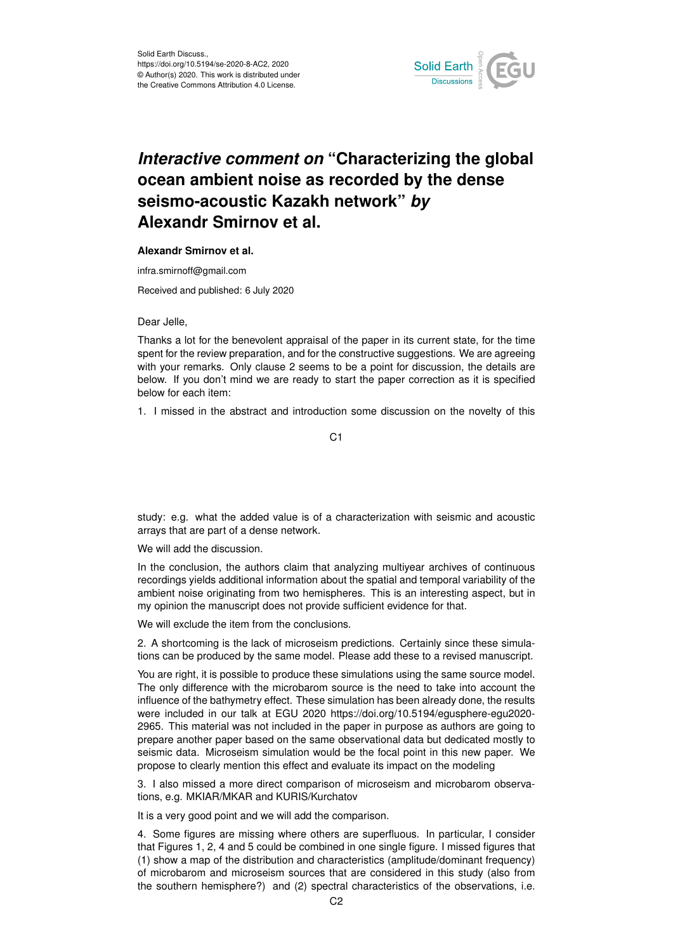

## *Interactive comment on* **"Characterizing the global ocean ambient noise as recorded by the dense seismo-acoustic Kazakh network"** *by* **Alexandr Smirnov et al.**

## **Alexandr Smirnov et al.**

infra.smirnoff@gmail.com

Received and published: 6 July 2020

Dear Jelle,

Thanks a lot for the benevolent appraisal of the paper in its current state, for the time spent for the review preparation, and for the constructive suggestions. We are agreeing with your remarks. Only clause 2 seems to be a point for discussion, the details are below. If you don't mind we are ready to start the paper correction as it is specified below for each item:

1. I missed in the abstract and introduction some discussion on the novelty of this

C<sub>1</sub>

study: e.g. what the added value is of a characterization with seismic and acoustic arrays that are part of a dense network.

We will add the discussion.

In the conclusion, the authors claim that analyzing multiyear archives of continuous recordings yields additional information about the spatial and temporal variability of the ambient noise originating from two hemispheres. This is an interesting aspect, but in my opinion the manuscript does not provide sufficient evidence for that.

We will exclude the item from the conclusions.

2. A shortcoming is the lack of microseism predictions. Certainly since these simulations can be produced by the same model. Please add these to a revised manuscript.

You are right, it is possible to produce these simulations using the same source model. The only difference with the microbarom source is the need to take into account the influence of the bathymetry effect. These simulation has been already done, the results were included in our talk at EGU 2020 https://doi.org/10.5194/egusphere-egu2020- 2965. This material was not included in the paper in purpose as authors are going to prepare another paper based on the same observational data but dedicated mostly to seismic data. Microseism simulation would be the focal point in this new paper. We propose to clearly mention this effect and evaluate its impact on the modeling

3. I also missed a more direct comparison of microseism and microbarom observations, e.g. MKIAR/MKAR and KURIS/Kurchatov

It is a very good point and we will add the comparison.

4. Some figures are missing where others are superfluous. In particular, I consider that Figures 1, 2, 4 and 5 could be combined in one single figure. I missed figures that (1) show a map of the distribution and characteristics (amplitude/dominant frequency) of microbarom and microseism sources that are considered in this study (also from the southern hemisphere?) and (2) spectral characteristics of the observations, i.e.